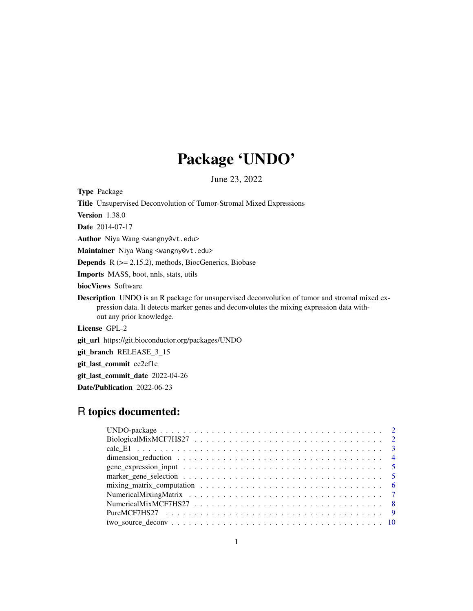## Package 'UNDO'

June 23, 2022

Type Package

Title Unsupervised Deconvolution of Tumor-Stromal Mixed Expressions

Version 1.38.0

Date 2014-07-17

Author Niya Wang <wangny@vt.edu>

Maintainer Niya Wang <wangny@vt.edu>

Depends R (>= 2.15.2), methods, BiocGenerics, Biobase

Imports MASS, boot, nnls, stats, utils

biocViews Software

Description UNDO is an R package for unsupervised deconvolution of tumor and stromal mixed expression data. It detects marker genes and deconvolutes the mixing expression data without any prior knowledge.

License GPL-2

git\_url https://git.bioconductor.org/packages/UNDO

git\_branch RELEASE\_3\_15

git\_last\_commit ce2ef1c

git\_last\_commit\_date 2022-04-26

Date/Publication 2022-06-23

## R topics documented:

| mixing matrix computation $\ldots \ldots \ldots \ldots \ldots \ldots \ldots \ldots \ldots \ldots \ldots \ldots$ |
|-----------------------------------------------------------------------------------------------------------------|
|                                                                                                                 |
|                                                                                                                 |
|                                                                                                                 |
|                                                                                                                 |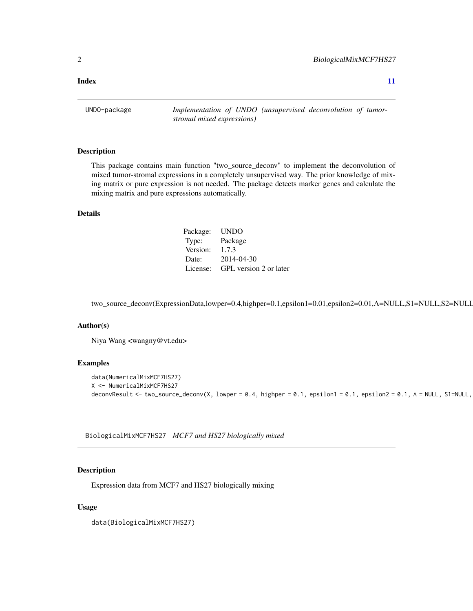<span id="page-1-0"></span>**Index** [11](#page-10-0)

UNDO-package *Implementation of UNDO (unsupervised deconvolution of tumorstromal mixed expressions)*

## Description

This package contains main function "two\_source\_deconv" to implement the deconvolution of mixed tumor-stromal expressions in a completely unsupervised way. The prior knowledge of mixing matrix or pure expression is not needed. The package detects marker genes and calculate the mixing matrix and pure expressions automatically.

## Details

| Package: | <b>UNDO</b>            |
|----------|------------------------|
| Type:    | Package                |
| Version: | 1.7.3                  |
| Date:    | 2014-04-30             |
| License: | GPL version 2 or later |

two\_source\_deconv(ExpressionData,lowper=0.4,highper=0.1,epsilon1=0.01,epsilon2=0.01,A=NULL,S1=NULL,S2=NULL

## Author(s)

Niya Wang <wangny@vt.edu>

## Examples

```
data(NumericalMixMCF7HS27)
X <- NumericalMixMCF7HS27
deconvResult <- two_source_deconv(X, lowper = 0.4, highper = 0.1, epsilon1 = 0.1, epsilon2 = 0.1, A = NULL, S1=NULL,
```
BiologicalMixMCF7HS27 *MCF7 and HS27 biologically mixed*

## Description

Expression data from MCF7 and HS27 biologically mixing

## Usage

data(BiologicalMixMCF7HS27)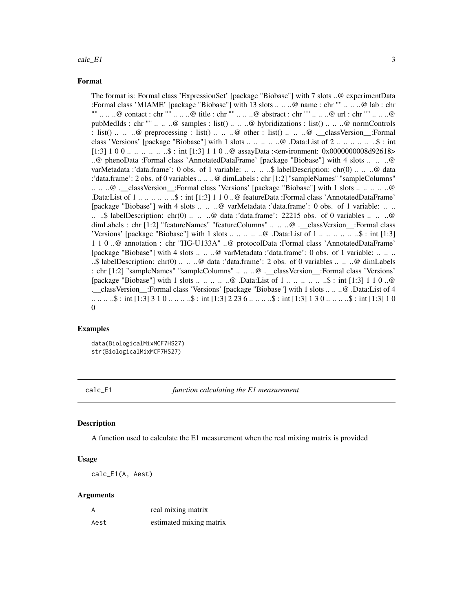## <span id="page-2-0"></span> $\text{calc\_El}$  3

## Format

The format is: Formal class 'ExpressionSet' [package "Biobase"] with 7 slots ..@ experimentData :Formal class 'MIAME' [package "Biobase"] with 13 slots .. .. ..@ name : chr "" .. .. ..@ lab : chr "" .. .. ..@ contact : chr "" .. .. ..@ title : chr "" .. .. ..@ abstract : chr "" .. .. ..@ url : chr "" .. .. ..@ pubMedIds : chr "" .. .. ..@ samples : list() .. .. ..@ hybridizations : list() .. .. ..@ normControls : list() .. .. ..@ preprocessing : list() .. .. ..@ other : list() .. .. ..@ .\_\_classVersion\_:Formal class 'Versions' [package "Biobase"] with 1 slots .. .. .. .. ..@ .Data:List of 2 .. .. .. .. .. ..\$ : int  $[1:3]$  1 0 0 ... .. .. .. \$: int [1:3] 1 1 0 ..@ assayData :<environment: 0x0000000008d92618> ..@ phenoData :Formal class 'AnnotatedDataFrame' [package "Biobase"] with 4 slots .. .. ..@ varMetadata :'data.frame': 0 obs. of 1 variable: .. .. ... \$ labelDescription: chr(0) .. .. ..@ data :'data.frame': 2 obs. of 0 variables .. .. ..@ dimLabels : chr [1:2] "sampleNames" "sampleColumns" .. .. ..@ .\_\_classVersion\_\_:Formal class 'Versions' [package "Biobase"] with 1 slots .. .. .. .. ..@ .Data:List of 1 .. .. .. .. .. ..\$ : int [1:3] 1 1 0 ..@ featureData :Formal class 'AnnotatedDataFrame' [package "Biobase"] with 4 slots .. .. ..@ varMetadata :'data.frame': 0 obs. of 1 variable: .. .. .. ..\$ labelDescription: chr(0) .. .. ..@ data :'data.frame': 22215 obs. of 0 variables .. .. ..@ dimLabels : chr [1:2] "featureNames" "featureColumns" .. .. ..@ .\_\_classVersion\_\_:Formal class 'Versions' [package "Biobase"] with 1 slots .. .. .. .. ..@ .Data:List of 1 .. .. .. .. .. ..\$ : int [1:3] 1 1 0 ..@ annotation : chr "HG-U133A" ..@ protocolData :Formal class 'AnnotatedDataFrame' [package "Biobase"] with 4 slots .. .. ..@ varMetadata :'data.frame': 0 obs. of 1 variable: .. .. .. ..\$ labelDescription: chr(0) .. .. ..@ data :'data.frame': 2 obs. of 0 variables .. .. ..@ dimLabels : chr [1:2] "sampleNames" "sampleColumns" .. .. ..@ .\_\_classVersion\_\_:Formal class 'Versions' [package "Biobase"] with 1 slots .. .. .. .. ..@ .Data:List of 1 .. .. .. .. .. ..\$ : int [1:3] 1 1 0 ..@ .\_\_classVersion\_\_:Formal class 'Versions' [package "Biobase"] with 1 slots .. .. ..@ .Data:List of 4 .. .. .. ..\$ : int [1:3] 3 1 0 .. .. .. ..\$ : int [1:3] 2 23 6 .. .. .. ..\$ : int [1:3] 1 3 0 .. .. .. ..\$ : int [1:3] 1 0  $\Omega$ 

#### Examples

data(BiologicalMixMCF7HS27) str(BiologicalMixMCF7HS27)

calc\_E1 *function calculating the E1 measurement*

## **Description**

A function used to calculate the E1 measurement when the real mixing matrix is provided

## Usage

calc\_E1(A, Aest)

## Arguments

| A    | real mixing matrix      |
|------|-------------------------|
| Aest | estimated mixing matrix |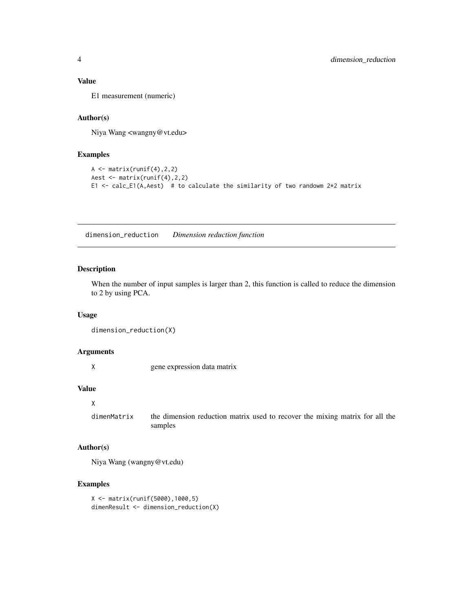## <span id="page-3-0"></span>Value

E1 measurement (numeric)

## Author(s)

Niya Wang <wangny@vt.edu>

## Examples

```
A \leftarrow matrix(runif(4), 2, 2)
Aest <- matrix(runif(4),2,2)
E1 <- calc_E1(A, Aest) # to calculate the similarity of two randowm 2*2 matrix
```
dimension\_reduction *Dimension reduction function*

## Description

When the number of input samples is larger than 2, this function is called to reduce the dimension to 2 by using PCA.

## Usage

dimension\_reduction(X)

## Arguments

X gene expression data matrix

## Value

```
X
```
dimenMatrix the dimension reduction matrix used to recover the mixing matrix for all the samples

## Author(s)

Niya Wang (wangny@vt.edu)

## Examples

```
X <- matrix(runif(5000),1000,5)
dimenResult <- dimension_reduction(X)
```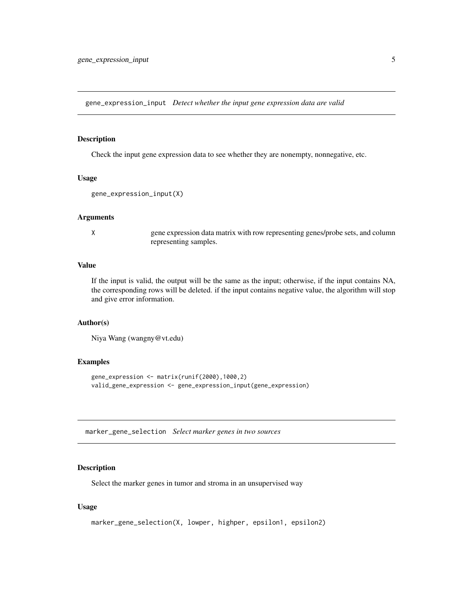<span id="page-4-0"></span>gene\_expression\_input *Detect whether the input gene expression data are valid*

## Description

Check the input gene expression data to see whether they are nonempty, nonnegative, etc.

## Usage

```
gene_expression_input(X)
```
## Arguments

X gene expression data matrix with row representing genes/probe sets, and column representing samples.

## Value

If the input is valid, the output will be the same as the input; otherwise, if the input contains NA, the corresponding rows will be deleted. if the input contains negative value, the algorithm will stop and give error information.

## Author(s)

Niya Wang (wangny@vt.edu)

## Examples

```
gene_expression <- matrix(runif(2000),1000,2)
valid_gene_expression <- gene_expression_input(gene_expression)
```
marker\_gene\_selection *Select marker genes in two sources*

## Description

Select the marker genes in tumor and stroma in an unsupervised way

## Usage

```
marker_gene_selection(X, lowper, highper, epsilon1, epsilon2)
```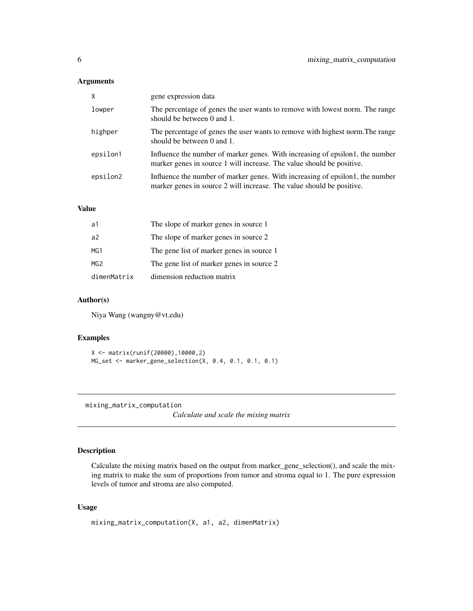## <span id="page-5-0"></span>Arguments

| $\times$ | gene expression data                                                                                                                                   |
|----------|--------------------------------------------------------------------------------------------------------------------------------------------------------|
| lowper   | The percentage of genes the user wants to remove with lowest norm. The range<br>should be between 0 and 1.                                             |
| highper  | The percentage of genes the user wants to remove with highest norm. The range<br>should be between $0$ and $1$ .                                       |
| epsilon1 | Influence the number of marker genes. With increasing of epsilon1, the number<br>marker genes in source 1 will increase. The value should be positive. |
| epsilon2 | Influence the number of marker genes. With increasing of epsilon1, the number<br>marker genes in source 2 will increase. The value should be positive. |

## Value

| a1             | The slope of marker genes in source 1     |
|----------------|-------------------------------------------|
| a <sup>2</sup> | The slope of marker genes in source 2     |
| MG1            | The gene list of marker genes in source 1 |
| MG2            | The gene list of marker genes in source 2 |
| dimenMatrix    | dimension reduction matrix                |

## Author(s)

Niya Wang (wangny@vt.edu)

## Examples

```
X <- matrix(runif(20000),10000,2)
MG_set <- marker_gene_selection(X, 0.4, 0.1, 0.1, 0.1)
```
mixing\_matrix\_computation

*Calculate and scale the mixing matrix*

## Description

Calculate the mixing matrix based on the output from marker\_gene\_selection(), and scale the mixing matrix to make the sum of proportions from tumor and stroma equal to 1. The pure expression levels of tumor and stroma are also computed.

## Usage

```
mixing_matrix_computation(X, a1, a2, dimenMatrix)
```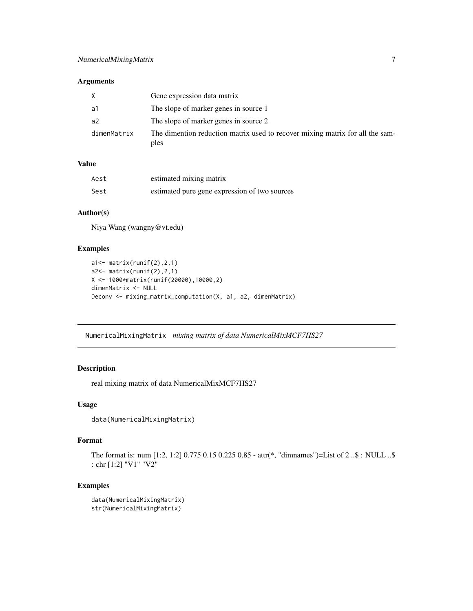## <span id="page-6-0"></span>Arguments

| X           | Gene expression data matrix                                                           |
|-------------|---------------------------------------------------------------------------------------|
| a1          | The slope of marker genes in source 1                                                 |
| a2          | The slope of marker genes in source 2                                                 |
| dimenMatrix | The dimention reduction matrix used to recover mixing matrix for all the sam-<br>ples |

## Value

| Aest | estimated mixing matrix                       |
|------|-----------------------------------------------|
| Sest | estimated pure gene expression of two sources |

## Author(s)

Niya Wang (wangny@vt.edu)

## Examples

```
a1<- matrix(runif(2),2,1)
a2<- matrix(runif(2),2,1)
X <- 1000*matrix(runif(20000),10000,2)
dimenMatrix <- NULL
Deconv <- mixing_matrix_computation(X, a1, a2, dimenMatrix)
```
NumericalMixingMatrix *mixing matrix of data NumericalMixMCF7HS27*

## Description

real mixing matrix of data NumericalMixMCF7HS27

## Usage

```
data(NumericalMixingMatrix)
```
## Format

```
The format is: num [1:2, 1:2] 0.775 0.15 0.225 0.85 - attr(*, "dimnames")=List of 2 ..$ : NULL ..$
: chr [1:2] "V1" "V2"
```
## Examples

```
data(NumericalMixingMatrix)
str(NumericalMixingMatrix)
```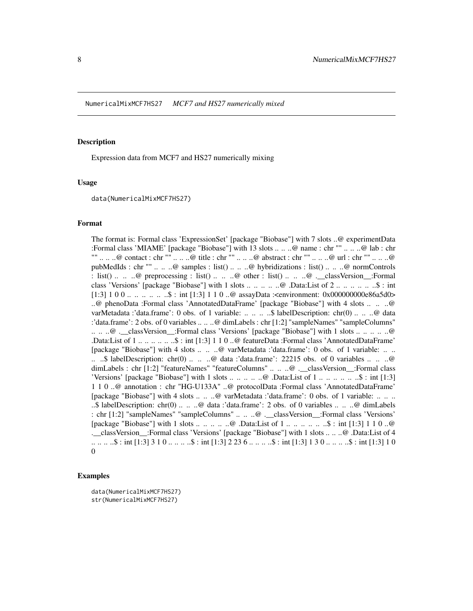## <span id="page-7-0"></span>Description

Expression data from MCF7 and HS27 numerically mixing

#### Usage

data(NumericalMixMCF7HS27)

#### Format

The format is: Formal class 'ExpressionSet' [package "Biobase"] with 7 slots ..@ experimentData :Formal class 'MIAME' [package "Biobase"] with 13 slots .. .. ..@ name : chr "" .. .. ..@ lab : chr "" .. .. ..@ contact : chr "" .. .. ..@ title : chr "" .. .. ..@ abstract : chr "" .. .. ..@ url : chr "" .. .. ..@ pubMedIds : chr "" .. .. ..@ samples : list() .. .. ..@ hybridizations : list() .. .. ..@ normControls : list() .. .. ..@ preprocessing : list() .. .. ..@ other : list() .. .. ..@ .\_\_classVersion\_\_:Formal class 'Versions' [package "Biobase"] with 1 slots .. .. .. .. ..@ .Data:List of 2 .. .. .. .. .. ..\$ : int  $[1:3]$  1 0 0 ... .. .. .. \$ : int  $[1:3]$  1 1 0 ..@ assayData :<environment: 0x000000000e86a5d0> ..@ phenoData :Formal class 'AnnotatedDataFrame' [package "Biobase"] with 4 slots .. .. ..@ varMetadata :'data.frame': 0 obs. of 1 variable: .. .. .. ..\$ labelDescription: chr(0) .. .. ..@ data :'data.frame': 2 obs. of 0 variables .. .. ..@ dimLabels : chr [1:2] "sampleNames" "sampleColumns" .. .. ..@ .\_\_classVersion\_\_:Formal class 'Versions' [package "Biobase"] with 1 slots .. .. .. .. ..@ .Data:List of 1 .. .. .. .. .. ..\$ : int [1:3] 1 1 0 ..@ featureData :Formal class 'AnnotatedDataFrame' [package "Biobase"] with 4 slots .. .. ..@ varMetadata :'data.frame': 0 obs. of 1 variable: .. .. .. ..\$ labelDescription: chr(0) .. .. ..@ data :'data.frame': 22215 obs. of 0 variables .. .. ..@ dimLabels : chr [1:2] "featureNames" "featureColumns" .. .. ..@ .\_\_classVersion\_\_:Formal class 'Versions' [package "Biobase"] with 1 slots .. ..  $\dots$  ...  $\omega$  .Data:List of 1  $\dots$   $\dots$   $\dots$   $\dots$   $\ldots$ \$ : int [1:3] 1 1 0 ..@ annotation : chr "HG-U133A" ..@ protocolData :Formal class 'AnnotatedDataFrame' [package "Biobase"] with 4 slots .. .. ..@ varMetadata :'data.frame': 0 obs. of 1 variable: .. .. .. ..\$ labelDescription: chr(0) .. .. ..@ data :'data.frame': 2 obs. of 0 variables .. .. ..@ dimLabels : chr [1:2] "sampleNames" "sampleColumns" .. .. ..@ .\_\_classVersion\_\_:Formal class 'Versions' [package "Biobase"] with 1 slots .. .. .. .. ..@ .Data:List of 1 .. .. .. .. .. ..\$ : int [1:3] 1 1 0 ..@ .\_\_classVersion\_\_:Formal class 'Versions' [package "Biobase"] with 1 slots .. .. ..@ .Data:List of 4 .. .. .. ..\$ : int [1:3] 3 1 0 .. .. .. ..\$ : int [1:3] 2 23 6 .. .. .. ..\$ : int [1:3] 1 3 0 .. .. .. ..\$ : int [1:3] 1 0  $\Omega$ 

## Examples

data(NumericalMixMCF7HS27) str(NumericalMixMCF7HS27)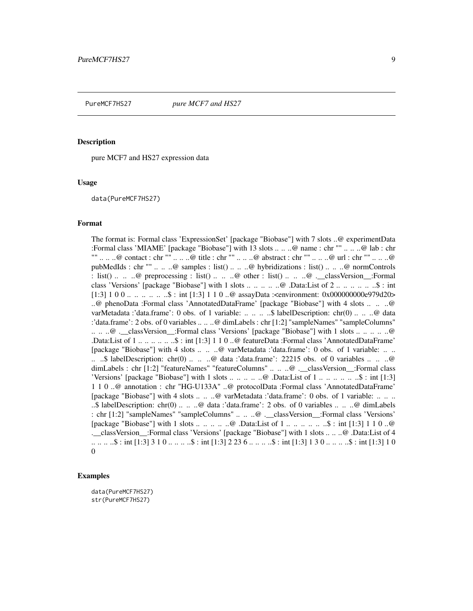<span id="page-8-0"></span>

## Description

pure MCF7 and HS27 expression data

#### Usage

data(PureMCF7HS27)

#### Format

The format is: Formal class 'ExpressionSet' [package "Biobase"] with 7 slots ..@ experimentData :Formal class 'MIAME' [package "Biobase"] with 13 slots .. .. ..@ name : chr "" .. .. ..@ lab : chr "" .. .. ..@ contact : chr "" .. .. ..@ title : chr "" .. .. ..@ abstract : chr "" .. .. ..@ url : chr "" .. .. ..@ pubMedIds : chr "" .. .. ..@ samples : list() .. .. ..@ hybridizations : list() .. .. ..@ normControls : list() .. .. ..@ preprocessing : list() .. .. ..@ other : list() .. .. ..@ .\_\_classVersion\_\_:Formal class 'Versions' [package "Biobase"] with 1 slots .. .. .. .. ..@ .Data:List of 2 .. .. .. .. .. ..\$ : int [1:3] 1 0 0 ... .. .. ... \$ : int [1:3] 1 1 0 ..@ assayData :<environment: 0x00000000e979d20> ..@ phenoData :Formal class 'AnnotatedDataFrame' [package "Biobase"] with 4 slots .. .. ..@ varMetadata :'data.frame': 0 obs. of 1 variable: .. .. .. ..\$ labelDescription: chr(0) .. .. ..@ data :'data.frame': 2 obs. of 0 variables .. .. ..@ dimLabels : chr [1:2] "sampleNames" "sampleColumns" .. .. ..@ .\_\_classVersion\_\_:Formal class 'Versions' [package "Biobase"] with 1 slots .. .. .. .. ..@ .Data:List of 1 .. .. .. .. .. ..\$ : int [1:3] 1 1 0 ..@ featureData :Formal class 'AnnotatedDataFrame' [package "Biobase"] with 4 slots .. .. ..@ varMetadata :'data.frame': 0 obs. of 1 variable: .. .. .. ..\$ labelDescription: chr(0) .. .. ..@ data :'data.frame': 22215 obs. of 0 variables .. .. ..@ dimLabels : chr [1:2] "featureNames" "featureColumns" .. .. ..@ .\_\_classVersion\_\_:Formal class 'Versions' [package "Biobase"] with 1 slots .. ..  $\dots$  ...  $\omega$  .Data:List of 1  $\dots$   $\dots$   $\dots$   $\dots$   $\ldots$ \$ : int [1:3] 1 1 0 ..@ annotation : chr "HG-U133A" ..@ protocolData :Formal class 'AnnotatedDataFrame' [package "Biobase"] with 4 slots .. .. ..@ varMetadata :'data.frame': 0 obs. of 1 variable: .. .. .. ..\$ labelDescription: chr(0) .. .. ..@ data :'data.frame': 2 obs. of 0 variables .. .. ..@ dimLabels : chr [1:2] "sampleNames" "sampleColumns" .. .. ..@ .\_\_classVersion\_\_:Formal class 'Versions' [package "Biobase"] with 1 slots .. .. .. .. ..@ .Data:List of 1 .. .. .. .. .. ..\$ : int [1:3] 1 1 0 ..@ .\_\_classVersion\_\_:Formal class 'Versions' [package "Biobase"] with 1 slots .. .. ..@ .Data:List of 4 .. .. .. ..\$ : int [1:3] 3 1 0 .. .. .. ..\$ : int [1:3] 2 23 6 .. .. .. ..\$ : int [1:3] 1 3 0 .. .. .. ..\$ : int [1:3] 1 0  $\Omega$ 

## Examples

data(PureMCF7HS27) str(PureMCF7HS27)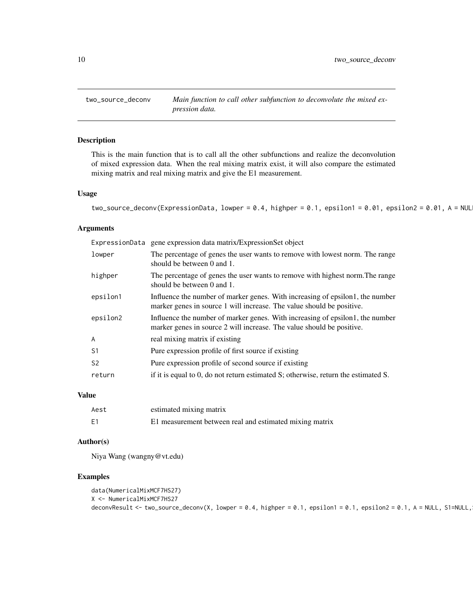<span id="page-9-0"></span>

## Description

This is the main function that is to call all the other subfunctions and realize the deconvolution of mixed expression data. When the real mixing matrix exist, it will also compare the estimated mixing matrix and real mixing matrix and give the E1 measurement.

## Usage

```
two_source_deconv(ExpressionData, lowper = 0.4, highper = 0.1, epsilon1 = 0.01, epsilon2 = 0.01, A = NUL
```
## Arguments

|                | ExpressionData gene expression data matrix/ExpressionSet object                                                                                        |
|----------------|--------------------------------------------------------------------------------------------------------------------------------------------------------|
| lowper         | The percentage of genes the user wants to remove with lowest norm. The range<br>should be between 0 and 1.                                             |
| highper        | The percentage of genes the user wants to remove with highest norm. The range<br>should be between 0 and 1.                                            |
| epsilon1       | Influence the number of marker genes. With increasing of epsilon1, the number<br>marker genes in source 1 will increase. The value should be positive. |
| epsilon2       | Influence the number of marker genes. With increasing of epsilon1, the number<br>marker genes in source 2 will increase. The value should be positive. |
| $\overline{A}$ | real mixing matrix if existing                                                                                                                         |
| S1             | Pure expression profile of first source if existing                                                                                                    |
| S <sub>2</sub> | Pure expression profile of second source if existing                                                                                                   |
| return         | if it is equal to 0, do not return estimated S; otherwise, return the estimated S.                                                                     |

## Value

| Aest | estimated mixing matrix                                 |
|------|---------------------------------------------------------|
| E1   | E1 measurement between real and estimated mixing matrix |

## Author(s)

Niya Wang (wangny@vt.edu)

## Examples

```
data(NumericalMixMCF7HS27)
X <- NumericalMixMCF7HS27
deconvResult <- two_source_deconv(X, lowper = 0.4, highper = 0.1, epsilon1 = 0.1, epsilon2 = 0.1, A = NULL, S1=NULL,
```